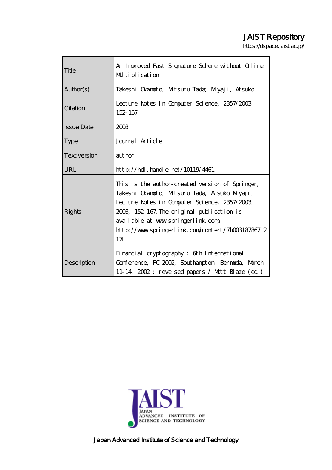# JAIST Repository

https://dspace.jaist.ac.jp/

| Title               | An Improved Fast Signature Scheme without Online<br>Multiplication                                                                                                                                                                                                                                        |  |  |  |  |  |
|---------------------|-----------------------------------------------------------------------------------------------------------------------------------------------------------------------------------------------------------------------------------------------------------------------------------------------------------|--|--|--|--|--|
| Author(s)           | Takeshi Okanoto; Miltsuru Tada; Milyaji, Atsuko                                                                                                                                                                                                                                                           |  |  |  |  |  |
| Citation            | Lecture Notes in Computer Science, 2357/2003<br>152-167                                                                                                                                                                                                                                                   |  |  |  |  |  |
| <b>Issue Date</b>   | 2003                                                                                                                                                                                                                                                                                                      |  |  |  |  |  |
| <b>Type</b>         | Journal Article                                                                                                                                                                                                                                                                                           |  |  |  |  |  |
| <b>Text version</b> | author                                                                                                                                                                                                                                                                                                    |  |  |  |  |  |
| URL                 | $http$ // $rdl$ . handle. net/10119/4461                                                                                                                                                                                                                                                                  |  |  |  |  |  |
| Rights              | This is the author-created version of Springer,<br>Takeshi Okanoto, Mitsuru Tada, Atsuko Miyaji,<br>Lecture Notes in Computer Science, 2357/2003,<br>2003, 152-167. The original publication is<br>available at www.springerlink.com<br>http://www.springerlink.com/content/7h00318786712<br>$17 \square$ |  |  |  |  |  |
| Description         | Financial cryptography: 6th International<br>Conference, FC 2002, Southampton, Bernarda, March<br>11-14, 2002: reveised papers / Matt Blaze (ed)                                                                                                                                                          |  |  |  |  |  |



Japan Advanced Institute of Science and Technology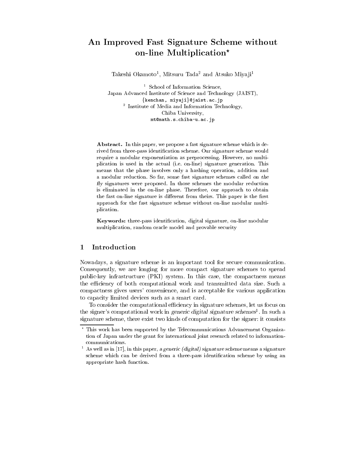## An Improved Fast Signature Scheme without on-line Multiplication\*

Takeshi Okamoto<sup>1</sup>, Mitsuru Tada<sup>2</sup> and Atsuko Miyaji<sup>1</sup>

<sup>1</sup> School of Information Science, Japan Advanced Institute of Science and Technology (JAIST), {kenchan, miyaji}@jaist.ac.jp <sup>2</sup> Institute of Media and Information Technology, Chiba University, mt@math.s.chiba-u.ac.jp

Abstract. In this paper, we propose a fast signature scheme which is derived from three-pass identification scheme. Our signature scheme would require a modular exponentiation as preprocessing. However, no multiplication is used in the actual (i.e. on-line) signature generation. This means that the phase involves only a hashing operation, addition and a modular reduction. So far, some fast signature schemes called on the fly signatures were proposed. In those schemes the modular reduction is eliminated in the on-line phase. Therefore, our approach to obtain the fast on-line signature is different from theirs. This paper is the first approach for the fast signature scheme without on-line modular multiplication.

Keywords: three pass identification, digital signature, on-line modular multiplication, random oracle model and provable security

#### $\mathbf{1}$ Introduction

Nowadays, a signature scheme is an important tool for secure communication. Consequently, we are longing for more compact signature schemes to spread public-key infrastructure (PKI) system. In this case, the compactness means the efficiency of both computational work and transmitted data size. Such a compactness gives users' convenience, and is acceptable for various application to capacity limited devices such as a smart card.

To consider the computational efficiency in signature schemes, let us focus on the signer's computational work in generic digital signature schemes<sup>1</sup>. In such a signature scheme, there exist two kinds of computation for the signer: it consists

<sup>\*</sup> This work has been supported by the Telecommunications Advancement Organization of Japan under the grant for international joint research related to informationcommunications.

 $^{-1}$  As well as in [17], in this paper, a generic (digital) signature scheme means a signature scheme which can be derived from a three-pass identification scheme by using an appropriate hash function.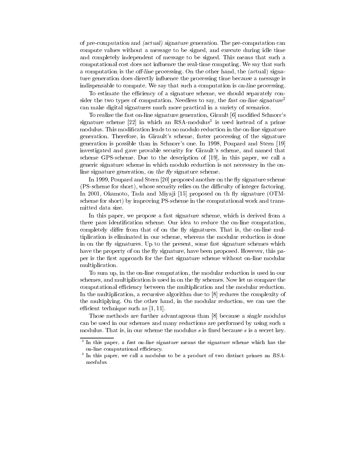of pre-computation and (actual) signature generation. The pre-computation can compute values without a message to be signed, and execute during idle time and completely independent of message to be signed. This means that such a computational cost does not influence the real-time computing. We say that such a computation is the *off-line* processing. On the other hand, the (actual) signature generation does directly influence the processing time because a message is indispensable to compute. We say that such a computation is on-line processing.

To estimate the efficiency of a signature scheme, we should separately consider the two types of computation. Needless to say, the fast on-line signature<sup>2</sup> can make digital signatures much more practical in a variety of scenarios.

To realize the fast on-line signature generation, Girault [6] modified Schnorr's signature scheme [22] in which an RSA-modulus<sup>3</sup> is used instead of a prime modulus. This modification leads to no modulo reduction in the on-line signature generation. Therefore, in Girault's scheme, faster processing of the signature generation is possible than in Schnorr's one. In 1998, Poupard and Stern [19] investigated and gave provable security for Girault's scheme, and named that scheme GPS-scheme. Due to the description of [19], in this paper, we call a generic signature scheme in which modulo reduction is not necessary in the online signature generation, on the fly signature scheme.

In 1999, Poupard and Stern [20] proposed another on the fly signature scheme (PS-scheme for short), whose security relies on the difficulty of integer factoring. In 2001, Okamoto, Tada and Miyaji [15] proposed on the fly signature (OTMscheme for short) by improving PS-scheme in the computational work and transmitted data size.

In this paper, we propose a fast signature scheme, which is derived from a three pass identification scheme. Our idea to reduce the on-line computation, completely differ from that of on the fly signatures. That is, the on-line multiplication is eliminated in our scheme, whereas the modular reduction is done in on the fly signatures. Up to the present, some fast signature schemes which have the property of on the fly signature, have been proposed. However, this paper is the first approach for the fast signature scheme without on-line modular multiplication.

To sum up, in the on-line computation, the modular reduction is used in our schemes, and multiplication is used in on the fly schemes. Now let us compare the computational efficiency between the multiplication and the modular reduction. In the multiplication, a recursive algorithm due to  $[8]$  reduces the complexity of the multiplying. On the other hand, in the modular reduction, we can use the efficient technique such as  $[1, 11]$ .

Those methods are further advantageous than [8] because a single modulus can be used in our schemes and many reductions are performed by using such a modulus. That is, in our scheme the modulus  $s$  is fixed because  $s$  is a secret key.

 $2$  In this paper, a fast on-line signature means the signature scheme which has the on-line computational efficiency.

<sup>&</sup>lt;sup>3</sup> In this paper, we call a modulus to be a product of two distinct primes an RSAmodulus.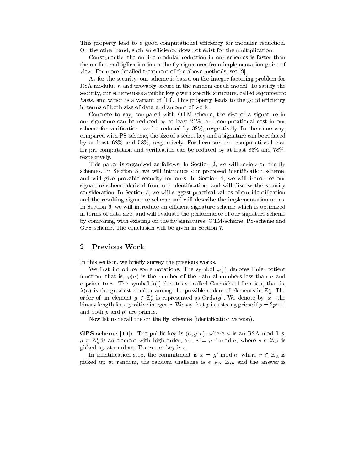This property lead to a good computational efficiency for modular reduction. On the other hand, such an efficiency does not exist for the multiplication.

Consequently, the on-line modular reduction in our schemes is faster than the on-line multiplication in on the fly signatures from implementation point of view. For more detailed treatment of the above methods, see [9].

As for the security, our scheme is based on the integer factoring problem for RSA modulus n and provably secure in the random oracle model. To satisfy the security, our scheme uses a public key  $g$  with specific structure, called asymmetric basis, and which is a variant of  $[16]$ . This property leads to the good efficiency in terms of both size of data and amount of work.

Concrete to say, compared with OTM-scheme, the size of a signature in our signature can be reduced by at least 21%, and computational cost in our scheme for verification can be reduced by  $32\%$ , respectively. In the same way, compared with PS-scheme, the size of a secret key and a signature can be reduced by at least 68% and 58%, respectively. Furthermore, the computational cost for pre-computation and verification can be reduced by at least  $83\%$  and  $78\%$ , respectively.

This paper is organized as follows. In Section 2, we will review on the fly schemes. In Section 3, we will introduce our proposed identification scheme, and will give provable security for ours. In Section 4, we will introduce our signature scheme derived from our identification, and will discuss the security consideration. In Section 5, we will suggest practical values of our identification and the resulting signature scheme and will describe the implementation notes. In Section 6, we will introduce an efficient signature scheme which is optimized in terms of data size, and will evaluate the performance of our signature scheme by comparing with existing on the fly signatures: OTM-scheme, PS-scheme and GPS-scheme. The conclusion will be given in Section 7.

#### $\boldsymbol{2}$ **Previous Work**

In this section, we briefly survey the previous works.

We first introduce some notations. The symbol  $\varphi(\cdot)$  denotes Euler totient function, that is,  $\varphi(n)$  is the number of the natural numbers less than n and coprime to n. The symbol  $\lambda(\cdot)$  denotes so-called Carmichael function, that is,  $\lambda(n)$  is the greatest number among the possible orders of elements in  $\mathbb{Z}_n^*$ . The order of an element  $g \in \mathbb{Z}_n^*$  is represented as  $\text{Ord}_n(g)$ . We denote by |x|, the binary length for a positive integer x. We say that p is a strong prime if  $p = 2p' + 1$ and both  $p$  and  $p'$  are primes.

Now let us recall the on the fly schemes (identification version).

**GPS-scheme** [19]: The public key is  $(n, g, v)$ , where *n* is an RSA modulus.  $g \in \mathbb{Z}_n^*$  is an element with high order, and  $v = g^{-s} \mod n$ , where  $s \in \mathbb{Z}_{2^k}$  is picked up at random. The secret key is  $s$ .

In identification step, the commitment is  $x = g^r \mod n$ , where  $r \in \mathbb{Z}_A$  is picked up at random, the random challenge is  $e \in_R \mathbb{Z}_B$ , and the answer is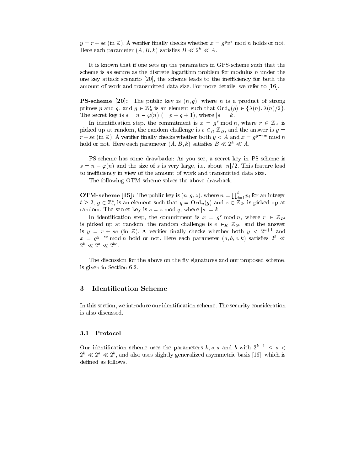$y = r + se$  (in Z). A verifier finally checks whether  $x = g^y v^e \mod n$  holds or not. Here each parameter  $(A, B, k)$  satisfies  $B \ll 2^k \ll A$ .

It is known that if one sets up the parameters in GPS-scheme such that the scheme is as secure as the discrete logarithm problem for modulus  $n$  under the one key attack scenario [20], the scheme leads to the inefficiency for both the amount of work and transmitted data size. For more details, we refer to [16].

**PS-scheme** [20]: The public key is  $(n, g)$ , where *n* is a product of strong primes p and q, and  $g \in \mathbb{Z}_n^*$  is an element such that  $\text{Ord}_n(g) \in \{\lambda(n), \lambda(n)/2\}.$ The secret key is  $s = n - \varphi(n)$  (=  $p + q + 1$ ), where  $|s| = k$ .

In identification step, the commitment is  $x = g^r \mod n$ , where  $r \in \mathbb{Z}_A$  is picked up at random, the random challenge is  $e \in_R \mathbb{Z}_B$ , and the answer is  $y =$  $r + se$  (in Z). A verifier finally checks whether both  $y < A$  and  $x = g^{y-ne}$  mod n hold or not. Here each parameter  $(A, B, k)$  satisfies  $B \ll 2^k \ll A$ .

PS-scheme has some drawbacks: As you see, a secret key in PS-scheme is  $s = n - \varphi(n)$  and the size of s is very large, i.e. about |n|/2. This feature lead to inefficiency in view of the amount of work and transmitted data size.

The following OTM-scheme solves the above drawback.

**OTM-scheme** [15]: The public key is  $(n, g, z)$ , where  $n = \prod_{i=1}^{t} p_i$  for an integer  $t \geq 2$ ,  $g \in \mathbb{Z}_n^*$  is an element such that  $q = \text{Ord}_n(g)$  and  $z \in \mathbb{Z}_{2^c}$  is picked up at random. The secret key is  $s = z \mod q$ , where  $|s| = k$ .

In identification step, the commitment is  $x = g^r \mod n$ , where  $r \in \mathbb{Z}_{2^a}$ is picked up at random, the random challenge is  $e \in_R \mathbb{Z}_{2^b}$ , and the answer is  $y = r + se$  (in Z). A verifier finally checks whether both  $y < 2^{a+1}$  and  $x = g^{y-ze}$  mod *n* hold or not. Here each parameter  $(a, b, c, k)$  satisfies  $2^b \ll$  $2^k \ll 2^a \ll 2^{bc}$ .

The discussion for the above on the fly signatures and our proposed scheme, is given in Section 6.2.

#### **Identification Scheme** 3

In this section, we introduce our identification scheme. The security consideration is also discussed.

#### $3.1\,$ Protocol

Our identification scheme uses the parameters k, s, a and b with  $2^{k-1} \leq s$  $2^k \ll 2^a \ll 2^b$ , and also uses slightly generalized asymmetric basis [16], which is defined as follows.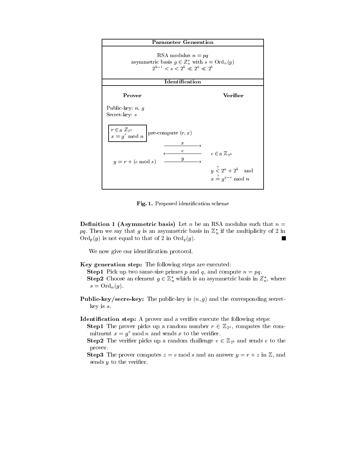

Fig. 1. Proposed identification scheme

**Definition 1 (Asymmetric basis)** Let *n* be an RSA modulus such that  $n =$ pq. Then we say that g is an asymmetric basis in  $\mathbb{Z}_n^*$  if the multiplicity of 2 in  $\text{Ord}_p(g)$  is not equal to that of 2 in  $\text{Ord}_q(g)$ .

We now give our identification protocol.

Key generation step: The following steps are executed:

- **Step1** Pick up two same-size primes p and q, and compute  $n = pq$ . **Step2** Choose an element  $g \in \mathbb{Z}_n^*$  which is an asymmetric basis in  $\mathbb{Z}_n^*$ , where  $s = \text{Ord}_n(g).$
- **Public-key/secre-key:** The public-key is  $(n, g)$  and the corresponding secret $key$  is  $s$ .

**Identification step:** A prover and a verifier execute the following steps:

**Step1** The prover picks up a random number  $r \in \mathbb{Z}_{2^a}$ , computes the commitment  $x = g^r \mod n$  and sends x to the verifier.

**Step2** The verifier picks up a random challenge  $e \in \mathbb{Z}_{2^b}$  and sends e to the prover.

**Step3** The prover computes  $z = e$  mod s and an answer  $y = r + z$  in Z, and sends  $y$  to the verifier.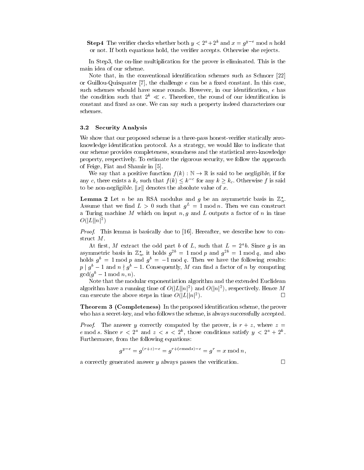**Step4** The verifier checks whether both  $y < 2^a + 2^k$  and  $x = g^{y-e}$  mod *n* hold or not. If both equations hold, the verifier accepts. Otherwise she rejects.

In Step3, the on-line multiplication for the prover is eliminated. This is the main idea of our scheme.

Note that, in the conventional identification schemes such as Schnorr [22] or Guillou-Quisquater [7], the challenge e can be a fixed constant. In this case, such schemes whould have some rounds. However, in our identification, e has the condition such that  $2^k \ll e$ . Therefore, the round of our identification is constant and fixed as one. We can say such a property indeed characterizes our schemes.

#### $\bf 3.2$ **Security Analysis**

We show that our proposed scheme is a three-pass honest-verifier statically zeroknowledge identification protocol. As a strategy, we would like to indicate that our scheme provides completeness, soundness and the statistical zero-knowledge property, respectively. To estimate the rigorous security, we follow the approach of Feige, Fiat and Shamir in [5].

We say that a positive function  $f(k): \mathbb{N} \to \mathbb{R}$  is said to be negligible, if for any c, there exists a  $k_c$  such that  $f(k) \leq k^{-c}$  for any  $k \geq k_c$ . Otherwise f is said to be non-negligible.  $||x||$  denotes the absolute value of x.

**Lemma 2** Let *n* be an RSA modulus and *g* be an asymmetric basis in  $\mathbb{Z}_n^*$ . Assume that we find  $L > 0$  such that  $q^L = 1 \text{ mod } n$ . Then we can construct a Turing machine M which on input n, q and L outputs a factor of n in time  $O(|L||n|^2)$ 

*Proof.* This lemma is basically due to [16]. Hereafter, we describe how to construct  $M$ .

At first, M extract the odd part b of L, such that  $L = 2<sup>a</sup>b$ . Since q is an asymmetric basis in  $\mathbb{Z}_n^*$ , it holds  $g^{2b} = 1 \text{ mod } p$  and  $g^{2b} = 1 \text{ mod } q$ , and also holds  $g^b = 1$  mod p and  $g^b = -1$  mod q. Then we have the following results:  $p \mid g^b - 1$  and  $n \nmid g^b - 1$ . Consequently, M can find a factor of n by computing  $gcd(g^b-1 \mod n, n).$ 

Note that the modular exponentiation algorithm and the extended Euclidean algorithm have a running time of  $O(|L||n|^2)$  and  $O(|n|^2)$ , respectively. Hence M can execute the above steps in time  $O(|L||n|^2)$ .  $\Box$ 

**Theorem 3 (Completeness)** In the proposed identification scheme, the prover who has a secret-key, and who follows the scheme, is always successfully accepted.

*Proof.* The answer y correctly computed by the prover, is  $r + z$ , where  $z =$ e mod s. Since  $r < 2^a$  and  $z < s < 2^k$ , those conditions satisfy  $y < 2^a + 2^k$ . Furthermore, from the following equations:

$$
g^{y-e} = g^{(r+z)-e} = g^{r+(\text{emods})-e} = g^r = x \mod n,
$$

a correctly generated answer  $\eta$  always passes the verification.

 $\Box$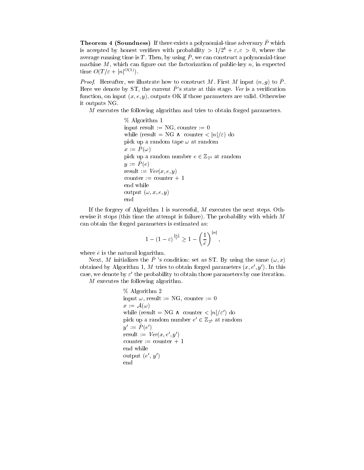**Theorem 4 (Soundness)** If there exists a polynomial-time adversary  $\tilde{P}$  which is accepted by honest verifiers with probability  $> 1/2^b + \varepsilon, \varepsilon > 0$ , where the average running time is T. Then, by using  $\tilde{P}$ , we can construct a polynomial-time machine M, which can figure out the factorization of public-key n, in expected time  $O(T/\varepsilon+|n|^{O(1)})$ .

*Proof.* Hereafter, we illustrate how to construct M. First M input  $(n, g)$  to  $\tilde{P}$ . Here we denote by ST, the current  $\ddot{P}$ 's state at this stage. Ver is a verification function, on input  $(x, e, y)$ , outputs OK if those parameters are valid. Otherwise it outputs NG.

 $M$  executes the following algorithm and tries to obtain forged parameters.

```
% Algorithm 1
input result := NG, counter := 0
while (result = NGcounter \langle |n|/\varepsilon \rangle do
pick up a random tape \omega at random
x := P(\omega)pick up a random number e \in \mathbb{Z}_{2^b} at random
y := P(e)result := Ver(x, e, y)counter := counter + 1end while
output (\omega, x, e, y)end
```
If the forgery of Algorithm 1 is successful,  $M$  executes the next steps. Otherwise it stops (this time the attempt is failure). The probability with which  $M$ can obtain the forged parameters is estimated as:

$$
1 - (1 - \varepsilon)^{\frac{|n|}{\varepsilon}} \ge 1 - \left(\frac{1}{\tilde{e}}\right)^{|n|},
$$

where  $\tilde{e}$  is the natural logarithm.

Next, M initializes the P 's condition: set as ST. By using the same  $(\omega, x)$ obtained by Algorithm 1, M tries to obtain forged parameters  $(x, e', y')$ . In this case, we denote by  $\varepsilon'$  the probability to obtain those parameters by one iteration.

 $M$  executes the following algorithm.

% Algorithm 2 input  $\omega$ , result := NG, counter := 0  $x:=\mathcal{A}(\omega)$ while (result = NG counter  $\langle |n|/\varepsilon' \rangle$  do pick up a random number  $e' \in \mathbb{Z}_{2^b}$  at random  $y' := P(e')$ result :=  $Ver(x, e', y')$ counter := counter + 1 end while output  $(e', y')$ end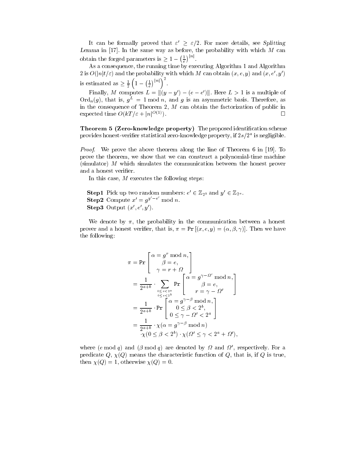It can be formally proved that  $\varepsilon' \geq \varepsilon/2$ . For more details, see Splitting Lemma in  $[17]$ . In the same way as before, the probability with which  $M$  can obtain the forged parameters is  $\geq 1 - \left(\frac{1}{e}\right)^{|n|}$ .

As a consequence, the running time by executing Algorithm 1 and Algorithm 2 is  $O(|n|t/\varepsilon)$  and the probability with which M can obtain  $(x, e, y)$  and  $(x, e', y')$ is estimated as  $\geq \frac{1}{2} \left( 1 - \left( \frac{1}{e} \right)^{|n|} \right)^2$ .

Finally, M computes  $L = ||(y - y') - (e - e')||$ . Here  $L > 1$  is a multiple of  $\text{Ord}_n(g)$ , that is,  $g^L = 1 \text{ mod } n$ , and g is an asymmetric basis. Therefore, as in the consequence of Theorem 2,  $M$  can obtain the factorization of public in expected time  $O(kT/\varepsilon + |n|^{O(1)})$ .  $\Box$ 

Theorem 5 (Zero-knowledge property) The proposed identification scheme provides honest-verifier statistical zero-knowledge property, if  $2s/2<sup>a</sup>$  is negligible.

*Proof.* We prove the above theorem along the line of Theorem 6 in [19]. To prove the theorem, we show that we can construct a polynomial-time machine (simulator)  $M$  which simulates the communication between the honest prover and a honest verifier.

In this case,  $M$  executes the following steps:

**Step1** Pick up two random numbers:  $e' \in \mathbb{Z}_{2^b}$  and  $y' \in \mathbb{Z}_{2^a}$ . **Step2** Compute  $x' = g^{y'-e'}$  mod n. Step3 Output  $(x', e', y')$ .

We denote by  $\pi$ , the probability in the communication between a honest prover and a honest verifier, that is,  $\pi = \Pr[(x, e, y) = (\alpha, \beta, \gamma)]$ . Then we have the following:

$$
\pi = \Pr\left[\begin{array}{c} \alpha = g^r \bmod n, \\ \beta = e, \\ \gamma = r + \Omega \end{array}\right]
$$
  
\n
$$
= \frac{1}{2^{a+b}} \cdot \sum_{0 \le r < 2^a \atop 0 \le e < 2^b} \Pr\left[\begin{array}{c} \alpha = g^{\gamma - \Omega'} \bmod n, \\ \beta = e, \\ r = \gamma - \Omega' \end{array}\right]
$$
  
\n
$$
= \frac{1}{2^{a+b}} \cdot \Pr\left[\begin{array}{c} \alpha = g^{\gamma - \beta} \bmod n, \\ 0 \le \beta < 2^b, \\ 0 \le \gamma - \Omega' < 2^a \end{array}\right]
$$
  
\n
$$
= \frac{1}{2^{a+b}} \cdot \chi(\alpha = g^{\gamma - \beta} \bmod n)
$$
  
\n
$$
\chi(0 \le \beta < 2^b) \cdot \chi(\Omega' \le \gamma < 2^a + \Omega')
$$

where  $(e \mod q)$  and  $(\beta \mod q)$  are denoted by  $\Omega$  and  $\Omega'$ , respectively. For a predicate Q,  $\chi(Q)$  means the characteristic function of Q, that is, if Q is true, then  $\chi(Q) = 1$ , otherwise  $\chi(Q) = 0$ .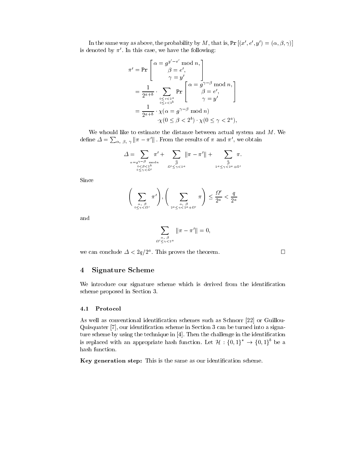In the same way as above, the probability by M, that is,  $Pr[(x', e', y') = (\alpha, \beta, \gamma)]$ is denoted by  $\pi'$ . In this case, we have the following:

$$
\pi' = \Pr\left[\begin{array}{c} \alpha = g^{y'-e'} \bmod n, \\ \beta = e', \\ \gamma = y' \end{array}\right]
$$
  
= 
$$
\frac{1}{2^{a+b}} \cdot \sum_{0 \le r < 2^a \atop 0 \le e < 2^b} \Pr\left[\begin{array}{c} \alpha = g^{\gamma-\beta} \bmod n, \\ \beta = e', \\ \gamma = y' \end{array}\right]
$$
  
= 
$$
\frac{1}{2^{a+b}} \cdot \chi(\alpha = g^{\gamma-\beta} \bmod n) \cdot \chi(0 \le \beta < 2^b) \cdot \chi(0 \le \gamma < 2^a),
$$

We whould like to estimate the distance between actual system and  $M$ . We define  $\Delta = \sum_{\alpha, \beta, \gamma} ||\pi - \pi'||$ . From the results of  $\pi$  and  $\pi'$ , we obtain

$$
\Delta = \sum_{\substack{\alpha = g^{\gamma-\beta} \mod n \\ 0 \leq \beta < 2^b \\ 0 \leq \gamma < \Omega'}} \pi' + \sum_{\substack{\alpha \\ \beta \\ \alpha' \leq \gamma < 2^a}} \|\pi - \pi'\| + \sum_{\substack{\alpha \\ \beta \\ 2^a \leq \gamma < 2^a + \Omega'}} \pi.
$$

Since

$$
\left(\sum_{\alpha, \beta \atop 0 \leq \gamma < \Omega'} \pi'\right), \left(\sum_{\alpha, \beta \atop 2^a \leq \gamma < 2^a + \Omega'} \pi\right) \leq \frac{\Omega'}{2^a} < \frac{q}{2^a}
$$

and

$$
\sum_{\alpha,\beta\atop{2\leq\gamma<2^a}}\|\pi-\pi'\|=0,
$$

we can conclude  $\Delta < 2q/2^a$ . This proves the theorem.

 $\Omega$ 

#### $\overline{4}$ **Signature Scheme**

We introduce our signature scheme which is derived from the identification scheme proposed in Section 3.

#### 4.1 Protocol

As well as conventional identification schemes such as Schnorr [22] or Guillou-Quisquater [7], our identification scheme in Section 3 can be turned into a signature scheme by using the technique in [4]. Then the challenge in the identification is replaced with an appropriate hash function. Let  $\mathcal{H} : \{0,1\}^* \to \{0,1\}^b$  be a hash function.

Key generation step: This is the same as our identification scheme.

 $\Box$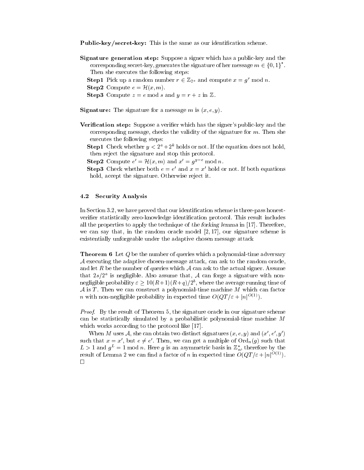**Public-key/secret-key:** This is the same as our identification scheme.

- **Signature generation step:** Suppose a signer which has a public-key and the corresponding secret-key, generates the signature of her message  $m \in \{0,1\}^*$ . Then she executes the following steps:
	- **Step1** Pick up a random number  $r \in \mathbb{Z}_{2^a}$  and compute  $x = q^r \mod n$ .
	- **Step2** Compute  $e = \mathcal{H}(x, m)$ .
	- **Step3** Compute  $z = e$  mod s and  $y = r + z$  in  $\mathbb{Z}$ .
- **Signature:** The signature for a message m is  $(x, e, y)$ .
- **Verification step:** Suppose a verifier which has the signer's public-key and the corresponding message, checks the validity of the signature for  $m$ . Then she executes the following steps:
	- **Step1** Check whether  $y < 2^a + 2^k$  holds or not. If the equation does not hold, then reject the signature and stop this protocol.
	- **Step2** Compute  $e' = \mathcal{H}(x,m)$  and  $x' = q^{y-e} \mod n$ .
	- **Step3** Check whether both  $e = e'$  and  $x = x'$  hold or not. If both equations hold, accept the signature. Otherwise reject it.

#### 4.2 **Security Analysis**

In Section 3.2, we have proved that our identification scheme is three-pass honestverifier statistically zero-knowledge identification protocol. This result includes all the properties to apply the technique of the forking lemma in [17]. Therefore, we can say that, in the random oracle model  $[2,17]$ , our signature scheme is existentially unforgeable under the adaptive chosen message attack

**Theorem 6** Let  $Q$  be the number of queries which a polynomial-time adversary  $A$  executing the adaptive chosen-message attack, can ask to the random oracle, and let R be the number of queries which  $A$  can ask to the actual signer. Assume that  $2s/2^a$  is negligible. Also assume that, A can forge a signature with nonnegligible probability  $\varepsilon \geq 10(R+1)(R+q)/2^b$ , where the average running time of  $A$  is T. Then we can construct a polynomial-time machine M which can factor *n* with non-negligible probability in expected time  $O(QT/\varepsilon + |n|^{O(1)})$ .

*Proof.* By the result of Theorem 5, the signature oracle in our signature scheme can be statistically simulated by a probabilistic polynomial-time machine  $M$ which works according to the protocol like [17].

When M uses A, she can obtain two distinct signatures  $(x, e, y)$  and  $(x', e', y')$ such that  $x = x'$ , but  $e \neq e'$ . Then, we can get a multiple of  $\text{Ord}_n(g)$  such that  $L > 1$  and  $g^L = 1$  mod n. Here g is an asymmetric basis in  $\mathbb{Z}_n^*$ , therefore by the result of Lemma 2 we can find a factor of *n* in expected time  $O(QT/\varepsilon+|n|^{O(1)})$ .  $\Box$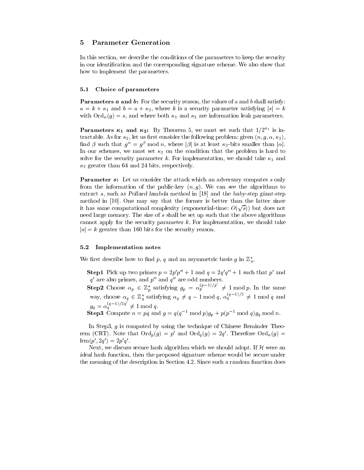#### **Parameter Generation**  $\bf{5}$

In this section, we describe the conditions of the parameters to keep the security in our identification and the corresponding signature scheme. We also show that how to implement the parameters.

#### Choice of parameters  $5.1$

**Parameters a and b:** For the security reason, the values of a and b shall satisfy:  $a = k + \kappa_1$  and  $b = a + \kappa_2$ , where k is a security parameter satisfying  $|s| = k$ with  $\text{Ord}_n(g) = s$ , and where both  $\kappa_1$  and  $\kappa_2$  are information leak parameters.

**Parameters**  $\kappa_1$  **and**  $\kappa_2$ **:** By Theorem 5, we must set such that  $1/2^{\kappa_1}$  is intractable. As for  $\kappa_2$ , let us first consider the following problem: given  $(n, g, \alpha, \kappa_2)$ , find  $\beta$  such that  $g^{\alpha} = g^{\beta}$  mod n, where  $|\beta|$  is at least  $\kappa_2$ -bits smaller than  $|\alpha|$ . In our schemes, we must set  $\kappa_2$  on the condition that the problem is hard to solve for the security parameter k. For implementation, we should take  $\kappa_1$  and  $\kappa_2$  greater than 64 and 24 bits, respectively.

**Parameter s:** Let us consider the attack which an adversary computes s only from the information of the public-key  $(n, g)$ . We can see the algorithms to extract s, such as Pollard lambda method in [18] and the baby-step giant-step method in [10]. One may say that the former is better than the latter since it has same computational complexity (exponential-time:  $O(\sqrt{s})$ ) but does not need large memory. The size of  $s$  shall be set up such that the above algorithms cannot apply for the security parameter  $k$ . For implementation, we should take  $|s| = k$  greater than 160 bits for the security reason.

#### $5.2$ Implementation notes

We first describe how to find p, q and an asymmetric basis g in  $\mathbb{Z}_n^*$ .

- **Step1** Pick up two primes  $p = 2p'p'' + 1$  and  $q = 2q'q'' + 1$  such that p' and  $q'$  are also primes, and  $p''$  and  $q''$  are odd numbers.
- **Step2** Choose  $\alpha_p \in \mathbb{Z}_p^*$  satisfying  $g_p = \alpha_p^{(p-1)/p'} \neq 1 \mod p$ . In the same<br>way, choose  $\alpha_q \in \mathbb{Z}_q^*$  satisfying  $\alpha_q \neq q-1 \mod q$ ,  $\alpha_q^{(q-1)/2} \neq 1 \mod q$  and  $g_q = \alpha_q^{(q-1)/2q'} \neq 1 \bmod q.$
- **Step3** Compute  $n = pq$  and  $g = q(q^{-1} \mod p)g_p + p(p^{-1} \mod q)g_q \mod n$ .

In Step3,  $g$  is computed by using the technique of Chinese Reminder Theorem (CRT). Note that  $\text{Ord}_n(g) = p'$  and  $\text{Ord}_n(g) = 2q'$ . Therefore  $\text{Ord}_n(g)$  $lcm(p', 2q') = 2p'q'.$ 

Next, we discuss secure hash algorithm which we should adopt. If  $\mathcal H$  were an *ideal* hash function, then the proposed signature scheme would be secure under the meaning of the description in Section 4.2. Since such a random function does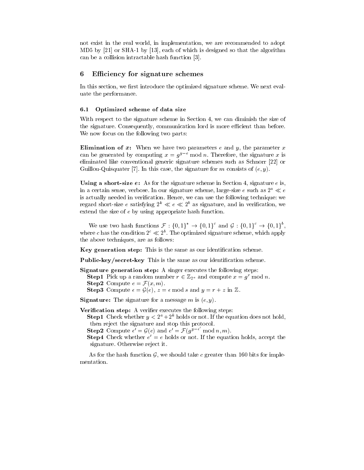not exist in the real world, in implementation, we are recommended to adopt MD5 by [21] or SHA-1 by [13], each of which is designed so that the algorithm can be a collision intractable hash function [3].

#### Efficiency for signature schemes 6

In this section, we first introduce the optimized signature scheme. We next evaluate the performance.

#### $6.1\,$ Optimized scheme of data size

With respect to the signature scheme in Section 4, we can diminish the size of the signature. Consequently, communication lord is more efficient than before. We now focus on the following two parts:

**Elimination of x:** When we have two parameters e and y, the parameter x can be generated by computing  $x = q^{y-e} \mod n$ . Therefore, the signature x is eliminated like conventional generic signature schemes such as Schnorr [22] or Guillou-Quisquater [7]. In this case, the signature for m consists of  $(e, y)$ .

Using a short-size  $e$ : As for the signature scheme in Section 4, signature  $e$  is, in a certain sense, verbose. In our signature scheme, large-size e such as  $2^a \ll e$ is actually needed in verification. Hence, we can use the following technique: we regard short-size e satisfying  $2^k \ll e \ll 2^b$  as signature, and in verification, we extend the size of  $e$  by using appropriate hash function.

We use two hash functions  $\mathcal{F}: \{0,1\}^* \to \{0,1\}^c$  and  $\mathcal{G}: \{0,1\}^c \to \{0,1\}^b$ . where c has the condition  $2^c \ll 2^b$ . The optimized signature scheme, which apply the above techniques, are as follows:

Key generation step: This is the same as our identification scheme.

Public-key/secret-key This is the same as our identification scheme.

**Signature generation step:** A singer executes the following steps: **Step1** Pick up a random number  $r \in \mathbb{Z}_{2^a}$  and compute  $x = g^r \text{ mod } n$ . **Step2** Compute  $e = \mathcal{F}(x, m)$ . **Step3** Compute  $\epsilon = \mathcal{G}(e)$ ,  $z = \epsilon \text{ mod } s$  and  $y = r + z$  in  $\mathbb{Z}$ .

**Signature:** The signature for a message m is  $(e, y)$ .

**Verification step:** A verifier executes the following steps:

**Step1** Check whether  $y < 2^a + 2^k$  holds or not. If the equation does not hold, then reject the signature and stop this protocol.

**Step2** Compute  $\epsilon' = \mathcal{G}(e)$  and  $e' = \mathcal{F}(g^{y-\epsilon'} \mod n, m)$ .

**Step4** Check whether  $e' = e$  holds or not. If the equation holds, accept the signature. Otherwise reject it.

As for the hash function  $G$ , we should take c greater than 160 bits for implementation.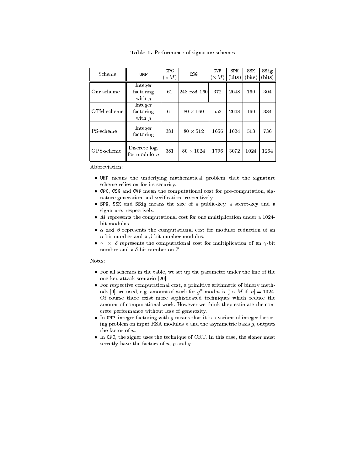| Scheme     | UMP                              | <b>CPC</b><br>$\times M$ ) | CSG              | <b>CVF</b><br>$\times M$ ) | <b>SPK</b><br>bits) | SSK<br>bits) | SSig<br>(bits) |
|------------|----------------------------------|----------------------------|------------------|----------------------------|---------------------|--------------|----------------|
| Our scheme | Integer<br>factoring<br>with $q$ | 61                         | $248 \mod 160$   | 372                        | 2048                | 160          | 304            |
| OTM-scheme | Integer<br>factoring<br>with $q$ | 61                         | $80 \times 160$  | 552                        | 2048                | 160          | 384            |
| PS-scheme  | Integer<br>factoring             | 381                        | $80 \times 512$  | 1656                       | 1024                | 513          | 736            |
| GPS-scheme | Discrete log.<br>for modulo $n$  | 381                        | $80 \times 1024$ | 1796                       | 3072                | 1024         | 1264           |

Table 1. Performance of signature schemes

Abbreviation:

- UMP means the underlying mathematical problem that the signature scheme relies on for its security.
- CPC, CSG and CVF mean the computational cost for pre-computation, signature generation and verification, respectively
- · SPK, SSK and SSig means the size of a public-key, a secret-key and a signature, respectively.
- $\bullet$  *M* represents the computational cost for one multiplication under a 1024bit modulus.
- $\alpha$  mod  $\beta$  represents the computational cost for modular reduction of an  $\alpha$ -bit number and a  $\beta$ -bit number modulus.
- $\gamma$  ×  $\delta$  represents the computational cost for multiplication of an  $\gamma$ -bit number and a  $\delta$ -bit number on  $\mathbb Z$ .

Notes:

- For all schemes in the table, we set up the parameter under the line of the one-key attack scenario [20].
- For respective computational cost, a primitive arithmetic of binary methods [9] are used, e.g. amount of work for  $g^{\alpha}$  mod n is  $\frac{3}{2}|\alpha|M$  if  $|n|=1024$ . Of course there exist more sophisticated techniques which reduce the amount of computational work. However we think they estimate the concrete performance without loss of generosity.
- In UMP, integer factoring with  $g$  means that it is a variant of integer factoring problem on input RSA modulus  $n$  and the asymmetric basis  $g$ , outputs the factor of  $n$ .
- $\bullet$  In CPC, the signer uses the technique of CRT. In this case, the signer must secretly have the factors of  $n$ ,  $p$  and  $q$ .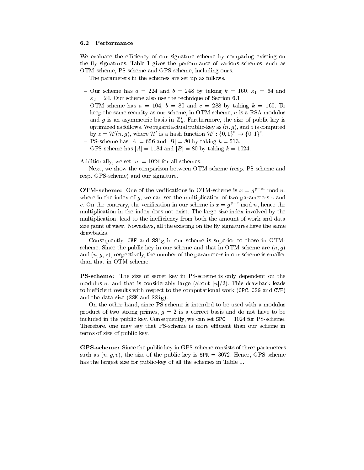#### $6.2$ Performance

We evaluate the efficiency of our signature scheme by comparing existing on the fly signatures. Table 1 gives the performance of various schemes, such as OTM-scheme, PS-scheme and GPS-scheme, including ours.

The parameters in the schemes are set up as follows.

- Our scheme has  $a = 224$  and  $b = 248$  by taking  $k = 160$ ,  $\kappa_1 = 64$  and  $\kappa_2 = 24$ . Our scheme also use the technique of Section 6.1.
- OTM-scheme has  $a = 104$ ,  $b = 80$  and  $c = 288$  by taking  $k = 160$ . To keep the same security as our scheme, in OTM scheme,  $n$  is a RSA modulus and g is an asymmetric basis in  $\mathbb{Z}_n^*$ . Furthermore, the size of public-key is optimized as follows. We regard actual public-key as  $(n, g)$ , and z is computed by  $z = \mathcal{H}'(n, g)$ , where  $\mathcal{H}'$  is a hash function  $\mathcal{H}' : \{0, 1\}^* \to \{0, 1\}^c$ .
- PS-scheme has  $|A| = 656$  and  $|B| = 80$  by taking  $k = 513$ .
- GPS-scheme has  $|A| = 1184$  and  $|B| = 80$  by taking  $k = 1024$ .

Additionally, we set  $|n| = 1024$  for all schemes.

Next, we show the comparison between OTM-scheme (resp. PS-scheme and resp. GPS-scheme) and our signature.

**OTM-scheme:** One of the verifications in OTM-scheme is  $x = g^{y-ze}$  mod n, where in the index of  $g$ , we can see the multiplication of two parameters  $z$  and e. On the contrary, the verification in our scheme is  $x = g^{y-e} \mod n$ , hence the multiplication in the index does not exist. The large-size index involved by the multiplication, lead to the inefficiency from both the amount of work and data size point of view. Nowadays, all the existing on the fly signatures have the same drawbacks.

Consequently, CVF and SSig in our scheme is superior to those in OTMscheme. Since the public key in our scheme and that in OTM-scheme are  $(n, q)$ and  $(n, g, z)$ , respectively, the number of the parameters in our scheme is smaller than that in OTM-scheme.

**PS-scheme:** The size of secret key in PS-scheme is only dependent on the modulus n, and that is considerably large (about  $|n|/2$ ). This drawback leads to inefficient results with respect to the computational work (CPC, CSG and CVF) and the data size (SSK and SSig).

On the other hand, since PS-scheme is intended to be used with a modulus product of two strong primes,  $g = 2$  is a correct basis and do not have to be included in the public key. Consequently, we can set  $SPC = 1024$  for PS-scheme. Therefore, one may say that PS-scheme is more efficient than our scheme in terms of size of public key.

**GPS-scheme:** Since the public key in GPS-scheme consists of three parameters such as  $(n, g, v)$ , the size of the public key is SPK = 3072. Hence, GPS-scheme has the largest size for public-key of all the schemes in Table 1.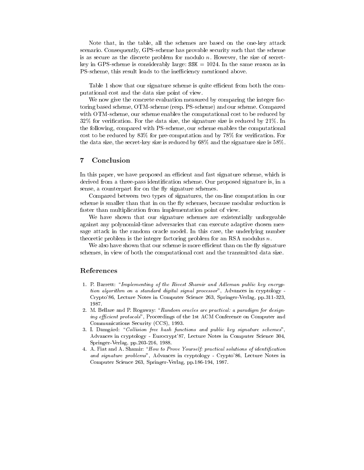Note that, in the table, all the schemes are based on the one-key attack scenario. Consequently, GPS-scheme has provable security such that the scheme is as secure as the discrete problem for modulo n. However, the size of secretkey in GPS-scheme is considerably large:  $SSK = 1024$ . In the same reason as in PS-scheme, this result leads to the inefficiency mentioned above.

Table 1 show that our signature scheme is quite efficient from both the computational cost and the data size point of view.

We now give the concrete evaluation measured by comparing the integer factoring based scheme, OTM-scheme (resp. PS-scheme) and our scheme. Compared with OTM-scheme, our scheme enables the computational cost to be reduced by 32% for verification. For the data size, the signature size is reduced by  $21\%$ . In the following, compared with PS-scheme, our scheme enables the computational cost to be reduced by 83% for pre-computation and by 78% for verification. For the data size, the secret-key size is reduced by  $68\%$  and the signature size is 58%.

#### $\overline{7}$ Conclusion

In this paper, we have proposed an efficient and fast signature scheme, which is derived from a three-pass identification scheme. Our proposed signature is, in a sense, a counterpart for on the fly signature schemes.

Compared between two types of signatures, the on-line computation in our scheme is smaller than that in on the fly schemes, because modular reduction is faster than multiplication from implementation point of view.

We have shown that our signature schemes are existentially unforgeable against any polynomial-time adversaries that can execute adaptive chosen message attack in the random oracle model. In this case, the underlying number theoretic problem is the integer factoring problem for an RSA modulus  $n$ .

We also have shown that our scheme is more efficient than on the fly signature schemes, in view of both the computational cost and the transmitted data size.

### References

- 1. P. Barrett: "Implementing of the Rivest Shamir and Adleman public key encryption algorithm on a standard digital signal processor", Advances in cryptology -Crypto'86, Lecture Notes in Computer Science 263, Springer-Verlag, pp.311-323, 1987.
- 2. M. Bellare and P. Rogaway: "Random oracles are practical: a paradigm for designing efficient protocols", Proceedings of the 1st ACM Conference on Computer and Communications Security (CCS), 1993.
- 3. I. Damgård: "Collision free hash functions and public key signature schemes", Advances in cryptology - Eurocrypt'87, Lecture Notes in Computer Science 304, Springer-Verlag, pp.203-216, 1988.
- 4. A. Fiat and A. Shamir: "How to Prove Yourself: practical solutions of identification and signature problems", Advances in cryptology - Crypto'86, Lecture Notes in Computer Science 263, Springer-Verlag, pp. 186-194, 1987.